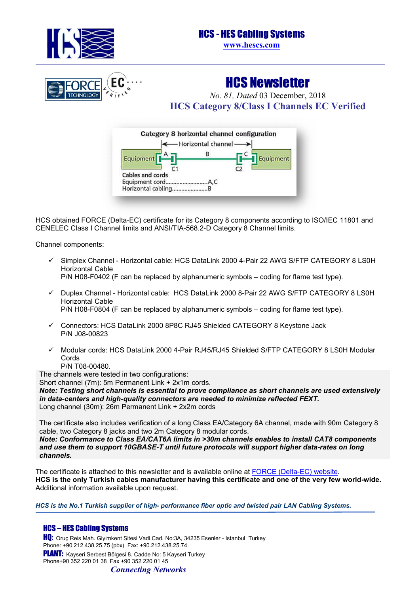

# HCS - HES Cabling Systems **www.hescs.com**



HCS Newsletter *No. 81, Dated* 03 December, 2018 **HCS Category 8/Class I Channels EC Verified** 



HCS obtained FORCE (Delta-EC) certificate for its Category 8 components according to ISO/IEC 11801 and CENELEC Class I Channel limits and ANSI/TIA-568.2-D Category 8 Channel limits.

Channel components:

- Simplex Channel Horizontal cable: HCS DataLink 2000 4-Pair 22 AWG S/FTP CATEGORY 8 LS0H Horizontal Cable P/N H08-F0402 (F can be replaced by alphanumeric symbols – coding for flame test type).
- Duplex Channel Horizontal cable: HCS DataLink 2000 8-Pair 22 AWG S/FTP CATEGORY 8 LS0H Horizontal Cable

P/N H08-F0804 (F can be replaced by alphanumeric symbols – coding for flame test type).

- $\checkmark$  Connectors: HCS DataLink 2000 8P8C RJ45 Shielded CATEGORY 8 Keystone Jack P/N J08-00823
- $\checkmark$  Modular cords: HCS DataLink 2000 4-Pair RJ45/RJ45 Shielded S/FTP CATEGORY 8 LS0H Modular Cords
	- P/N T08-00480.

The channels were tested in two configurations:

Short channel (7m): 5m Permanent Link + 2x1m cords.

*Note: Testing short channels is essential to prove compliance as short channels are used extensively in data-centers and high-quality connectors are needed to minimize reflected FEXT.* Long channel (30m): 26m Permanent Link + 2x2m cords

The certificate also includes verification of a long Class EA/Category 6A channel, made with 90m Category 8 cable, two Category 8 jacks and two 2m Category 8 modular cords.

*Note: Conformance to Class EA/CAT6A limits in >30m channels enables to install CAT8 components and use them to support 10GBASE-T until future protocols will support higher data-rates on long channels.*

The certificate is attached to this newsletter and is available online at [FORCE \(Delta-EC\) website.](https://certification.madebydelta.com/customers/hcs-hes-cabling-systems/?Business_units/LAN/HCS_HES_Cabling.page) **HCS is the only Turkish cables manufacturer having this certificate and one of the very few world-wide.** Additional information available upon request.

*HCS is the No.1 Turkish supplier of high- performance fiber optic and twisted pair LAN Cabling Systems.*

# HCS – HES Cabling Systems

HQ: Oruç Reis Mah. Giyimkent Sitesi Vadi Cad. No:3A, 34235 Esenler - Istanbul Turkey Phone: +90.212.438.25.75 (pbx) Fax: +90.212.438.25.74. PLANT: Kayseri Serbest Bölgesi 8. Cadde No: 5 Kayseri Turkey Phone+90 352 220 01 38 Fax +90 352 220 01 45

*Connecting Networks*